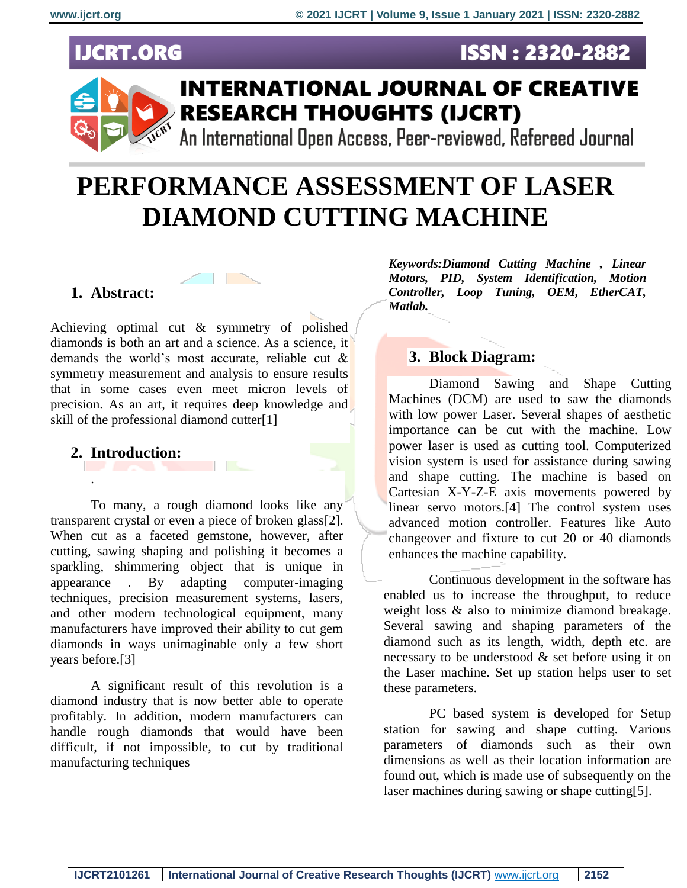# **IJCRT.ORG**



# **PERFORMANCE ASSESSMENT OF LASER DIAMOND CUTTING MACHINE**

# **1. Abstract:**

Achieving optimal cut & symmetry of polished diamonds is both an art and a science. As a science, it demands the world's most accurate, reliable cut & symmetry measurement and analysis to ensure results that in some cases even meet micron levels of precision. As an art, it requires deep knowledge and skill of the professional diamond cutter[1]

# **2. Introduction:**

.

To many, a rough diamond looks like any transparent crystal or even a piece of broken glass[2]. When cut as a faceted gemstone, however, after cutting, sawing shaping and polishing it becomes a sparkling, shimmering object that is unique in appearance . By adapting computer-imaging techniques, precision measurement systems, lasers, and other modern technological equipment, many manufacturers have improved their ability to cut gem diamonds in ways unimaginable only a few short years before.[3]

A significant result of this revolution is a diamond industry that is now better able to operate profitably. In addition, modern manufacturers can handle rough diamonds that would have been difficult, if not impossible, to cut by traditional manufacturing techniques

*Keywords:Diamond Cutting Machine , Linear Motors, PID, System Identification, Motion Controller, Loop Tuning, OEM, EtherCAT, Matlab.*

**ISSN: 2320-2882** 

# **3. Block Diagram:**

Diamond Sawing and Shape Cutting Machines (DCM) are used to saw the diamonds with low power Laser. Several shapes of aesthetic importance can be cut with the machine. Low power laser is used as cutting tool. Computerized vision system is used for assistance during sawing and shape cutting. The machine is based on Cartesian X-Y-Z-E axis movements powered by linear servo motors.[4] The control system uses advanced motion controller. Features like Auto changeover and fixture to cut 20 or 40 diamonds enhances the machine capability.

Continuous development in the software has enabled us to increase the throughput, to reduce weight loss & also to minimize diamond breakage. Several sawing and shaping parameters of the diamond such as its length, width, depth etc. are necessary to be understood  $\&$  set before using it on the Laser machine. Set up station helps user to set these parameters.

PC based system is developed for Setup station for sawing and shape cutting. Various parameters of diamonds such as their own dimensions as well as their location information are found out, which is made use of subsequently on the laser machines during sawing or shape cutting[5].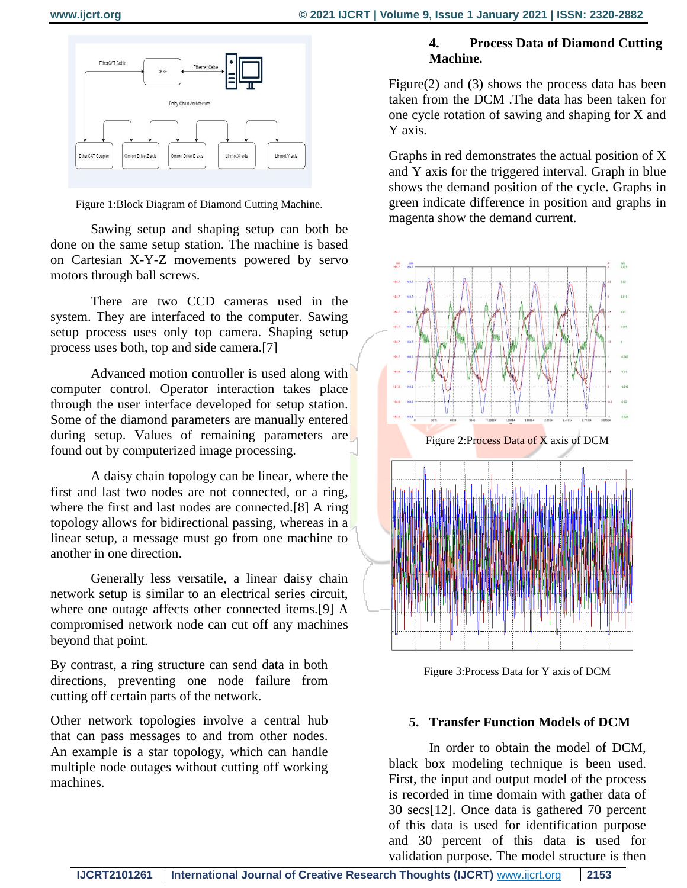

Figure 1:Block Diagram of Diamond Cutting Machine.

Sawing setup and shaping setup can both be done on the same setup station. The machine is based on Cartesian X-Y-Z movements powered by servo motors through ball screws.

There are two CCD cameras used in the system. They are interfaced to the computer. Sawing setup process uses only top camera. Shaping setup process uses both, top and side camera.[7]

Advanced motion controller is used along with computer control. Operator interaction takes place through the user interface developed for setup station. Some of the diamond parameters are manually entered during setup. Values of remaining parameters are found out by computerized image processing.

A daisy chain topology can be linear, where the first and last two nodes are not connected, or a ring, where the first and last nodes are connected.[8] A ring topology allows for bidirectional passing, whereas in a linear setup, a message must go from one machine to another in one direction.

Generally less versatile, a linear daisy chain network setup is similar to an electrical series circuit, where one outage affects other connected items.[9] A compromised network node can cut off any machines beyond that point.

By contrast, a ring structure can send data in both directions, preventing one node failure from cutting off certain parts of the network.

Other network topologies involve a central hub that can pass messages to and from other nodes. An example is a star topology, which can handle multiple node outages without cutting off working machines.

# **4. Process Data of Diamond Cutting Machine.**

Figure(2) and (3) shows the process data has been taken from the DCM .The data has been taken for one cycle rotation of sawing and shaping for X and Y axis.

Graphs in red demonstrates the actual position of X and Y axis for the triggered interval. Graph in blue shows the demand position of the cycle. Graphs in green indicate difference in position and graphs in magenta show the demand current.



Figure 3:Process Data for Y axis of DCM

#### **5. Transfer Function Models of DCM**

In order to obtain the model of DCM, black box modeling technique is been used. First, the input and output model of the process is recorded in time domain with gather data of 30 secs[12]. Once data is gathered 70 percent of this data is used for identification purpose and 30 percent of this data is used for validation purpose. The model structure is then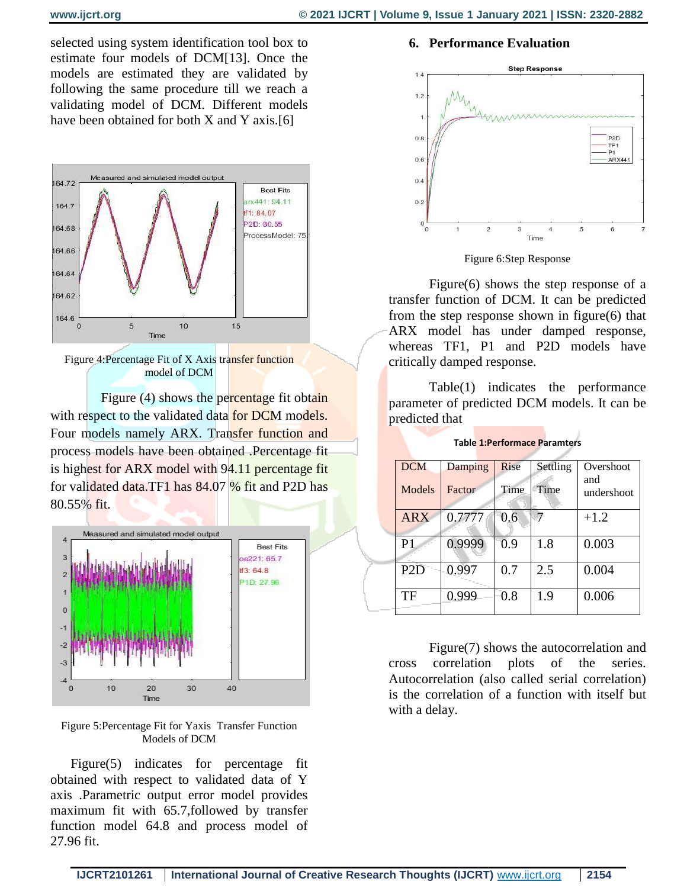selected using system identification tool box to estimate four models of DCM[13]. Once the models are estimated they are validated by following the same procedure till we reach a validating model of DCM. Different models have been obtained for both X and Y axis.[6]



Figure 4:Percentage Fit of X Axis transfer function model of DCM

Figure (4) shows the percentage fit obtain with respect to the validated data for DCM models. Four models namely ARX. Transfer function and process models have been obtained .Percentage fit is highest for ARX model with 94.11 percentage fit for validated data.TF1 has 84.07 % fit and P2D has 80.55% fit.



Figure 5:Percentage Fit for Yaxis Transfer Function Models of DCM

Figure(5) indicates for percentage fit obtained with respect to validated data of Y axis .Parametric output error model provides maximum fit with 65.7,followed by transfer function model 64.8 and process model of 27.96 fit.

#### **6. Performance Evaluation**



Figure 6:Step Response

Figure(6) shows the step response of a transfer function of DCM. It can be predicted from the step response shown in figure(6) that ARX model has under damped response, whereas TF1, P1 and P2D models have critically damped response.

Table(1) indicates the performance parameter of predicted DCM models. It can be predicted that

| <b>Table 1: Performace Paramters</b> |
|--------------------------------------|
|--------------------------------------|

| <b>DCM</b>       | Damping | Rise | Settling | Overshoot         |  |
|------------------|---------|------|----------|-------------------|--|
| Models           | Factor  | Time | Time     | and<br>undershoot |  |
| <b>ARX</b>       | 0.7777  | 0.6  | 7        | $+1.2$            |  |
| P <sub>1</sub>   | 0.9999  | 0.9  | 1.8      | 0.003             |  |
| P <sub>2</sub> D | 0.997   | 0.7  | 2.5      | 0.004             |  |
| TF               | 0.999   | 0.8  | 1.9      | 0.006             |  |

Figure(7) shows the autocorrelation and cross correlation plots of the series. Autocorrelation (also called serial correlation) is the correlation of a function with itself but with a delay.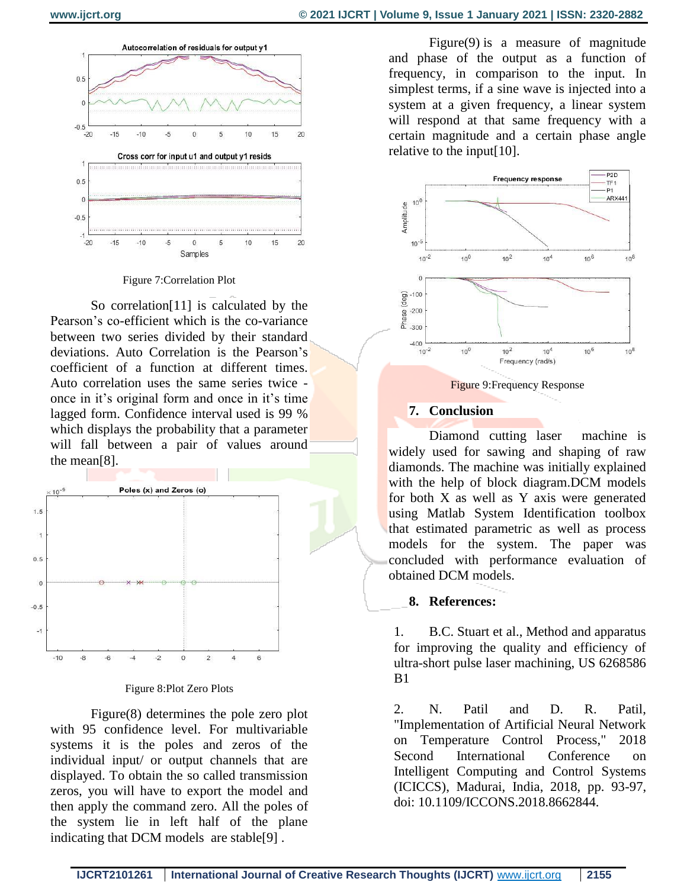

Figure 7:Correlation Plot

So correlation[11] is calculated by the Pearson's co-efficient which is the co-variance between two series divided by their standard deviations. Auto Correlation is the Pearson's coefficient of a function at different times. Auto correlation uses the same series twice once in it's original form and once in it's time lagged form. Confidence interval used is 99 % which displays the probability that a parameter will fall between a pair of values around the mean[8].



Figure 8:Plot Zero Plots

Figure(8) determines the pole zero plot with 95 confidence level. For multivariable systems it is the poles and zeros of the individual input/ or output channels that are displayed. To obtain the so called transmission zeros, you will have to export the model and then apply the command zero. All the poles of the system lie in left half of the plane indicating that DCM models are stable[9] .

Figure(9) is a measure of magnitude and phase of the output as a function of frequency, in comparison to the input. In simplest terms, if a sine wave is injected into a system at a given frequency, a linear system will respond at that same frequency with a certain magnitude and a certain phase angle relative to the input[10].



Figure 9:Frequency Response

## **7. Conclusion**

Diamond cutting laser machine is widely used for sawing and shaping of raw diamonds. The machine was initially explained with the help of block diagram.DCM models for both X as well as Y axis were generated using Matlab System Identification toolbox that estimated parametric as well as process models for the system. The paper was concluded with performance evaluation of obtained DCM models.

## **8. References:**

1. B.C. Stuart et al., Method and apparatus for improving the quality and efficiency of ultra-short pulse laser machining, US 6268586 B1

2. N. Patil and D. R. Patil, "Implementation of Artificial Neural Network on Temperature Control Process," 2018 Second International Conference on Intelligent Computing and Control Systems (ICICCS), Madurai, India, 2018, pp. 93-97, doi: 10.1109/ICCONS.2018.8662844.